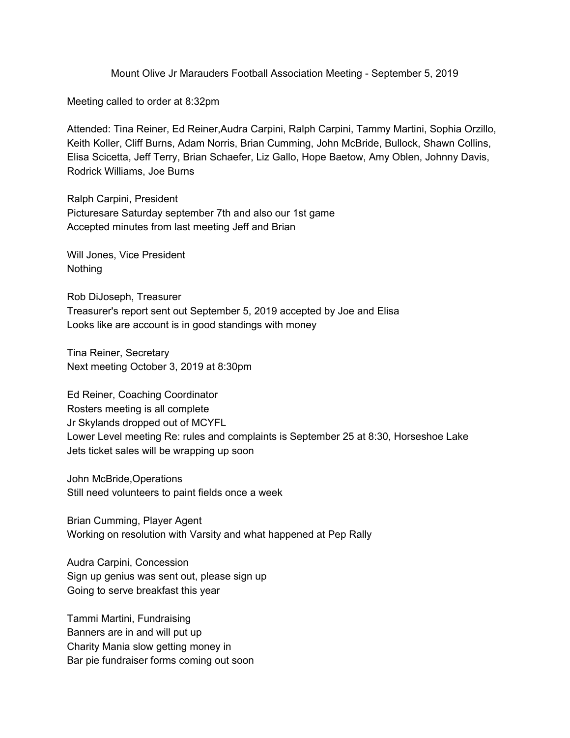Mount Olive Jr Marauders Football Association Meeting - September 5, 2019

Meeting called to order at 8:32pm

Attended: Tina Reiner, Ed Reiner,Audra Carpini, Ralph Carpini, Tammy Martini, Sophia Orzillo, Keith Koller, Cliff Burns, Adam Norris, Brian Cumming, John McBride, Bullock, Shawn Collins, Elisa Scicetta, Jeff Terry, Brian Schaefer, Liz Gallo, Hope Baetow, Amy Oblen, Johnny Davis, Rodrick Williams, Joe Burns

Ralph Carpini, President Picturesare Saturday september 7th and also our 1st game Accepted minutes from last meeting Jeff and Brian

Will Jones, Vice President **Nothing** 

Rob DiJoseph, Treasurer Treasurer's report sent out September 5, 2019 accepted by Joe and Elisa Looks like are account is in good standings with money

Tina Reiner, Secretary Next meeting October 3, 2019 at 8:30pm

Ed Reiner, Coaching Coordinator Rosters meeting is all complete Jr Skylands dropped out of MCYFL Lower Level meeting Re: rules and complaints is September 25 at 8:30, Horseshoe Lake Jets ticket sales will be wrapping up soon

John McBride,Operations Still need volunteers to paint fields once a week

Brian Cumming, Player Agent Working on resolution with Varsity and what happened at Pep Rally

Audra Carpini, Concession Sign up genius was sent out, please sign up Going to serve breakfast this year

Tammi Martini, Fundraising Banners are in and will put up Charity Mania slow getting money in Bar pie fundraiser forms coming out soon